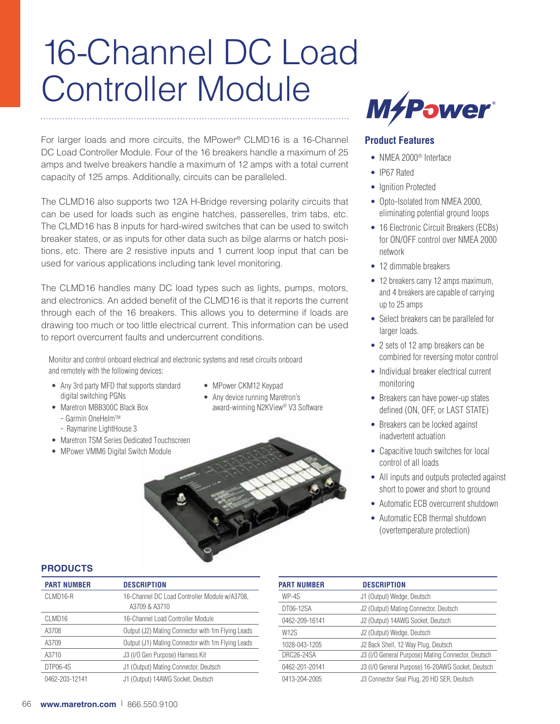# 16-Channel DC Load Controller Module

For larger loads and more circuits, the MPower® CLMD16 is a 16-Channel DC Load Controller Module. Four of the 16 breakers handle a maximum of 25 amps and twelve breakers handle a maximum of 12 amps with a total current capacity of 125 amps. Additionally, circuits can be paralleled.

The CLMD16 also supports two 12A H-Bridge reversing polarity circuits that can be used for loads such as engine hatches, passerelles, trim tabs, etc. The CLMD16 has 8 inputs for hard-wired switches that can be used to switch breaker states, or as inputs for other data such as bilge alarms or hatch positions, etc. There are 2 resistive inputs and 1 current loop input that can be used for various applications including tank level monitoring.

The CLMD16 handles many DC load types such as lights, pumps, motors, and electronics. An added benefit of the CLMD16 is that it reports the current through each of the 16 breakers. This allows you to determine if loads are drawing too much or too little electrical current. This information can be used to report overcurrent faults and undercurrent conditions.

Monitor and control onboard electrical and electronic systems and reset circuits onboard and remotely with the following devices:

- Any 3rd party MFD that supports standard digital switching PGNs
- Maretron MBB300C Black Box - Garmin OneHelm™
	-
- Raymarine LightHouse 3
- Maretron TSM Series Dedicated Touchscreen
- MPower VMM6 Digital Switch Module
- MPower CKM12 Keypad
- Any device running Maretron's award-winning N2KView® V3 Software





## **Product Features**

- NMFA 2000<sup>®</sup> Interface
- IP67 Rated
- Ignition Protected
- Opto-Isolated from NMEA 2000, eliminating potential ground loops
- 16 Electronic Circuit Breakers (ECBs) for ON/OFF control over NMEA 2000 network
- 12 dimmable breakers
- 12 breakers carry 12 amps maximum, and 4 breakers are capable of carrying up to 25 amps
- Select breakers can be paralleled for larger loads.
- 2 sets of 12 amp breakers can be combined for reversing motor control
- Individual breaker electrical current monitoring
- Breakers can have power-up states defined (ON, OFF, or LAST STATE)
- Breakers can be locked against inadvertent actuation
- Capacitive touch switches for local control of all loads
- All inputs and outputs protected against short to power and short to ground
- Automatic ECB overcurrent shutdown
- Automatic ECB thermal shutdown (overtemperature protection)

# **PRODUCTS**

| <b>PART NUMBER</b> | <b>DESCRIPTION</b>                                             |
|--------------------|----------------------------------------------------------------|
| CLMD16-R           | 16-Channel DC Load Controller Module w/A3708,<br>A3709 & A3710 |
| CLMD <sub>16</sub> | 16-Channel Load Controller Module                              |
| A3708              | Output (J2) Mating Connector with 1m Flying Leads              |
| A3709              | Output (J1) Mating Connector with 1m Flying Leads              |
| A3710              | J3 (I/O Gen Purpose) Harness Kit                               |
| DTP06-4S           | J1 (Output) Mating Connector, Deutsch                          |
| 0462-203-12141     | J1 (Output) 14AWG Socket, Deutsch                              |

| <b>PART NUMBER</b> | <b>DESCRIPTION</b>                                 |
|--------------------|----------------------------------------------------|
| WP-4S              | J1 (Output) Wedge, Deutsch                         |
| DT06-12SA          | J2 (Output) Mating Connector, Deutsch              |
| 0462-209-16141     | J2 (Output) 14AWG Socket, Deutsch                  |
| <b>W12S</b>        | J2 (Output) Wedge, Deutsch                         |
| 1028-043-1205      | J2 Back Shell, 12 Way Plug, Deutsch                |
| <b>DRC26-24SA</b>  | J3 (I/O General Purpose) Mating Connector, Deutsch |
| 0462-201-20141     | J3 (I/O General Purpose) 16-20AWG Socket, Deutsch  |
| 0413-204-2005      | J3 Connector Seal Plug, 20 HD SER, Deutsch         |
|                    |                                                    |